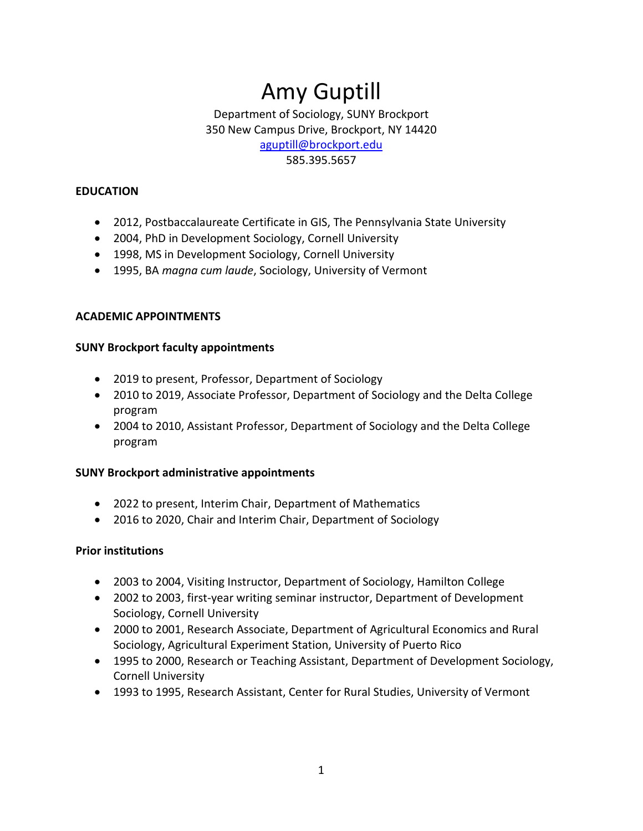# Amy Guptill

Department of Sociology, SUNY Brockport 350 New Campus Drive, Brockport, NY 14420 [aguptill@brockport.edu](mailto:aguptill@brockport.edu)  585.395.5657

### **EDUCATION**

- 2012, Postbaccalaureate Certificate in GIS, The Pennsylvania State University
- 2004, PhD in Development Sociology, Cornell University
- 1998, MS in Development Sociology, Cornell University
- 1995, BA *magna cum laude*, Sociology, University of Vermont

### **ACADEMIC APPOINTMENTS**

### **SUNY Brockport faculty appointments**

- 2019 to present, Professor, Department of Sociology
- 2010 to 2019, Associate Professor, Department of Sociology and the Delta College program
- 2004 to 2010, Assistant Professor, Department of Sociology and the Delta College program

## **SUNY Brockport administrative appointments**

- 2022 to present, Interim Chair, Department of Mathematics
- 2016 to 2020, Chair and Interim Chair, Department of Sociology

## **Prior institutions**

- 2003 to 2004, Visiting Instructor, Department of Sociology, Hamilton College
- 2002 to 2003, first-year writing seminar instructor, Department of Development Sociology, Cornell University
- • 2000 to 2001, Research Associate, Department of Agricultural Economics and Rural Sociology, Agricultural Experiment Station, University of Puerto Rico
- • 1995 to 2000, Research or Teaching Assistant, Department of Development Sociology, Cornell University
- 1993 to 1995, Research Assistant, Center for Rural Studies, University of Vermont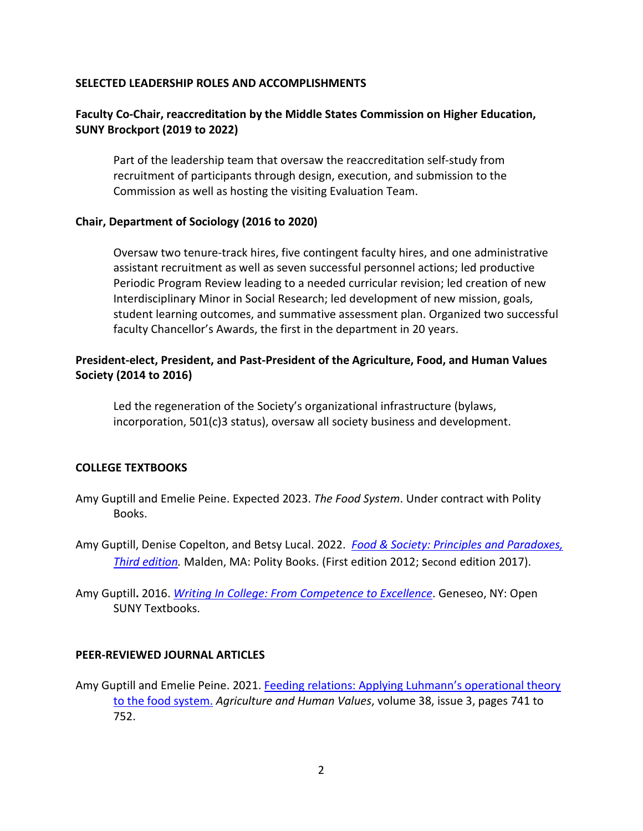#### **SELECTED LEADERSHIP ROLES AND ACCOMPLISHMENTS**

# SELECTED LEADERSHIP ROLES AND ACCOMPLISHMENTS<br>Faculty Co-Chair, reaccreditation by the Middle States Commission on Higher Education, **SUNY Brockport (2019 to 2022)**

 recruitment of participants through design, execution, and submission to the Commission as well as hosting the visiting Evaluation Team. Part of the leadership team that oversaw the reaccreditation self-study from

#### **Chair, Department of Sociology (2016 to 2020)**

 Periodic Program Review leading to a needed curricular revision; led creation of new Oversaw two tenure-track hires, five contingent faculty hires, and one administrative assistant recruitment as well as seven successful personnel actions; led productive Interdisciplinary Minor in Social Research; led development of new mission, goals, student learning outcomes, and summative assessment plan. Organized two successful faculty Chancellor's Awards, the first in the department in 20 years.

### **President-elect, President, and Past-President of the Agriculture, Food, and Human Values Society (2014 to 2016)**

Led the regeneration of the Society's organizational infrastructure (bylaws, incorporation, 501(c)3 status), oversaw all society business and development.

#### **COLLEGE TEXTBOOKS**

- Amy Guptill and Emelie Peine. Expected 2023. *The Food System*. Under contract with Polity Books.
- Amy Guptill, Denise Copelton, and Betsy Lucal. 2022. *[Food & Society: Principles and Paradoxes,](https://www.wiley.com/en-us/Food+and+Society%3A+Principles+and+Paradoxes%2C+2nd+Edition-p-9781509501878)  [Third edition.](https://www.wiley.com/en-us/Food+and+Society%3A+Principles+and+Paradoxes%2C+2nd+Edition-p-9781509501878)* Malden, MA: Polity Books. (First edition 2012; second edition 2017).
- SUNY Textbooks. Amy Guptill**.** 2016. *[Writing In College: From Competence to Excellence](http://textbooks.opensuny.org/writing-in-college-from-competence-to-excellence/)*. Geneseo, NY: Open

#### **PEER-REVIEWED JOURNAL ARTICLES**

Amy Guptill and Emelie Peine. 2021. Feeding relations: Applying Luhmann's operational theory [to the food system.](https://doi.org/10.1007/s10460-020-10185-8) *Agriculture and Human Values*, volume 38, issue 3, pages 741 to 752.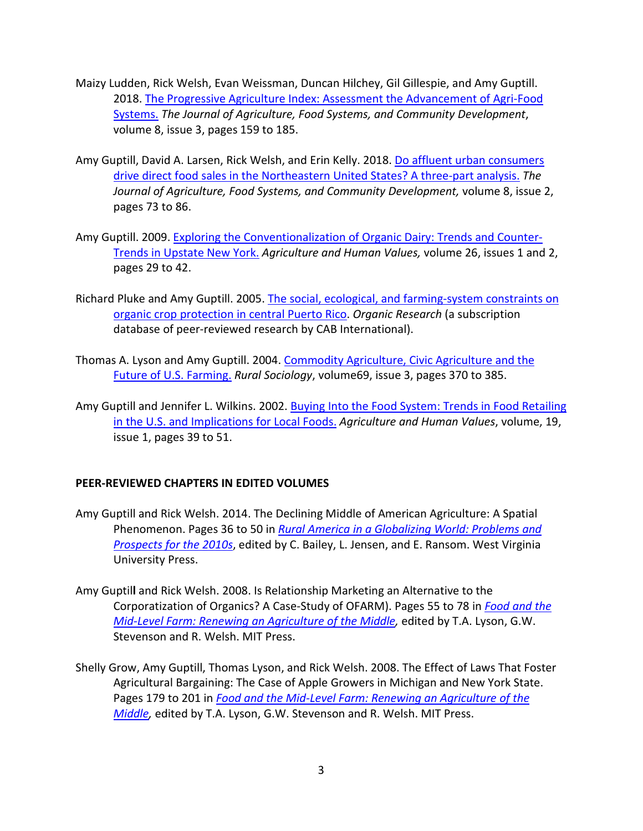- Maizy Ludden, Rick Welsh, Evan Weissman, Duncan Hilchey, Gil Gillespie, and Amy Guptill. volume 8, issue 3, pages 159 to 185. 2018. [The Progressive Agriculture Index: Assessment the Advancement of Agri-Food](https://doi.org/10.5304/jafscd.2018.083.003)  [Systems.](https://doi.org/10.5304/jafscd.2018.083.003) *The Journal of Agriculture, Food Systems, and Community Development*,
- Amy Guptill, David A. Larsen, Rick Welsh, and Erin Kelly. 2018. Do affluent urban consumers pages 73 to 86. [drive direct food sales in the Northeastern United States? A three-part analysis.](https://doi.org/10.5304/jafscd.2018.082.005) *The Journal of Agriculture, Food Systems, and Community Development,* volume 8, issue 2,
- Amy Guptill. 2009. [Exploring the Conventionalization of Organic Dairy: Trends and Counter-](https://doi.org/10.1007/s10460-008-9179-0) pages 29 to 42. [Trends in Upstate New York.](https://doi.org/10.1007/s10460-008-9179-0) *Agriculture and Human Values,* volume 26, issues 1 and 2,
- Richard Pluke and Amy Guptill. 2005. The social, ecological, and farming-system constraints on [organic crop protection in central Puerto Rico.](https://www.uprm.edu/tamuk/wp-content/uploads/sites/299/2019/07/PlukeGuptill_2005.pdf) *Organic Research* (a subscription database of peer-reviewed research by CAB International).
- Thomas A. Lyson and Amy Guptill. 2004. Commodity Agriculture, Civic Agriculture and the [Future of U.S. Farming.](https://doi.org/10.1526/0036011041730464) *Rural Sociology*, volume69, issue 3, pages 370 to 385.
- [in the U.S. and Implications for Local Foods.](https://doi.org/10.1023/A:1015024827047) *Agriculture and Human Values*, volume, 19, issue 1, pages 39 to 51. Amy Guptill and Jennifer L. Wilkins. 2002. [Buying Into the Food System: Trends in Food Retailing](https://doi.org/10.1023/A:1015024827047)

#### **PEER-REVIEWED CHAPTERS IN EDITED VOLUMES**

- Amy Guptill and Rick Welsh. 2014. The Declining Middle of American Agriculture: A Spatial Phenomenon. Pages 36 to 50 in *[Rural America in a Globalizing World: Problems and](https://wvupressonline.com/node/538)  [Prospects for the 2010s](https://wvupressonline.com/node/538)*, edited by C. Bailey, L. Jensen, and E. Ransom. West Virginia University Press.
- Amy Guptil**l** and Rick Welsh. 2008. Is Relationship Marketing an Alternative to the Corporatization of Organics? A Case-Study of OFARM). Pages 55 to 78 in *[Food and the](https://mitpress.mit.edu/books/food-and-mid-level-farm)*  Stevenson and R. Welsh. MIT Press. *[Mid-Level Farm: Renewing an Agriculture of the Middle,](https://mitpress.mit.edu/books/food-and-mid-level-farm)* edited by T.A. Lyson, G.W.
- Pages 179 to 201 in *[Food and the Mid-Level Farm: Renewing an Agriculture of the](https://mitpress.mit.edu/books/food-and-mid-level-farm)  [Middle,](https://mitpress.mit.edu/books/food-and-mid-level-farm)* edited by T.A. Lyson, G.W. Stevenson and R. Welsh. MIT Press. Shelly Grow, Amy Guptill, Thomas Lyson, and Rick Welsh. 2008. The Effect of Laws That Foster Agricultural Bargaining: The Case of Apple Growers in Michigan and New York State.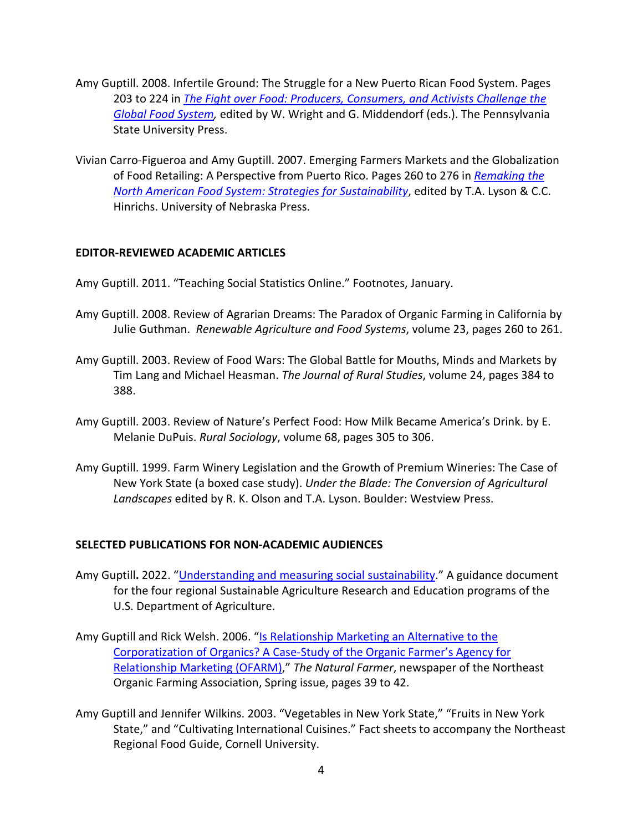- Amy Guptill. 2008. Infertile Ground: The Struggle for a New Puerto Rican Food System. Pages *[Global Food System,](https://www.psupress.org/books/titles/978-0-271-03274-0.html)* edited by W. Wright and G. Middendorf (eds.). The Pennsylvania 203 to 224 in *[The Fight over Food: Producers, Consumers, and Activists Challenge the](https://www.psupress.org/books/titles/978-0-271-03274-0.html)*  State University Press.
- of Food Retailing: A Perspective from Puerto Rico. Pages 260 to 276 in *[Remaking the](https://www.nebraskapress.unl.edu/nebraska-paperback/9780803227903/)*  Vivian Carro-Figueroa and Amy Guptill. 2007. Emerging Farmers Markets and the Globalization *[North American Food System: Strategies for Sustainability](https://www.nebraskapress.unl.edu/nebraska-paperback/9780803227903/)*, edited by T.A. Lyson & C.C. Hinrichs. University of Nebraska Press.

#### **EDITOR-REVIEWED ACADEMIC ARTICLES**

Amy Guptill. 2011. "Teaching Social Statistics Online." Footnotes, January.

- Amy Guptill. 2008. Review of Agrarian Dreams: The Paradox of Organic Farming in California by Julie Guthman. *Renewable Agriculture and Food Systems*, volume 23, pages 260 to 261.
- Amy Guptill. 2003. Review of Food Wars: The Global Battle for Mouths, Minds and Markets by Tim Lang and Michael Heasman. *The Journal of Rural Studies*, volume 24, pages 384 to 388.
- Amy Guptill. 2003. Review of Nature's Perfect Food: How Milk Became America's Drink. by E. Melanie DuPuis. *Rural Sociology*, volume 68, pages 305 to 306.
- Amy Guptill. 1999. Farm Winery Legislation and the Growth of Premium Wineries: The Case of New York State (a boxed case study). *Under the Blade: The Conversion of Agricultural Landscapes* edited by R. K. Olson and T.A. Lyson. Boulder: Westview Press.

#### **SELECTED PUBLICATIONS FOR NON-ACADEMIC AUDIENCES**

- Amy Guptill**.** 2022. ["Understanding and measuring social sustainability.](https://www.sare.org/resources/understanding-and-measuring-social-sustainability/)" A guidance document for the four regional Sustainable Agriculture Research and Education programs of the U.S. Department of Agriculture.
- [Corporatization of Organics? A Case-Study of the Organic Farmer's Agency for](http://www.nofa.org/tnf/Spring2006.pdf)  Organic Farming Association, Spring issue, pages 39 to 42. Amy Guptill and Rick Welsh. 2006. "Is Relationship Marketing an Alternative to the [Relationship Marketing \(OFARM\),](http://www.nofa.org/tnf/Spring2006.pdf)" *The Natural Farmer*, newspaper of the Northeast
- Amy Guptill and Jennifer Wilkins. 2003. "Vegetables in New York State," "Fruits in New York State," and "Cultivating International Cuisines." Fact sheets to accompany the Northeast Regional Food Guide, Cornell University.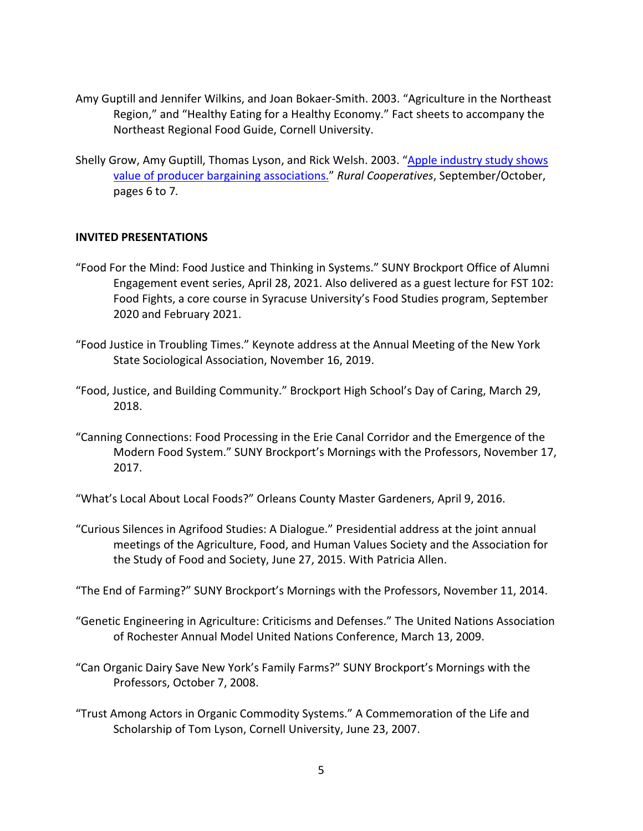- Amy Guptill and Jennifer Wilkins, and Joan Bokaer-Smith. 2003. "Agriculture in the Northeast Region," and "Healthy Eating for a Healthy Economy." Fact sheets to accompany the Northeast Regional Food Guide, Cornell University.
- Northeast Regional Food Guide, Cornell University.<br>Shelly Grow, Amy Guptill, Thomas Lyson, and Rick Welsh. 2003. "<u>Apple industry study shows</u> [value of producer bargaining associations."](https://www.rd.usda.gov/sites/default/files/CoopMag-sep03.pdf) *Rural Cooperatives*, September/October, pages 6 to 7*.*

#### **INVITED PRESENTATIONS**

- Engagement event series, April 28, 2021. Also delivered as a guest lecture for FST 102: Food Fights, a core course in Syracuse University's Food Studies program, September "Food For the Mind: Food Justice and Thinking in Systems." SUNY Brockport Office of Alumni 2020 and February 2021.
- "Food Justice in Troubling Times." Keynote address at the Annual Meeting of the New York State Sociological Association, November 16, 2019.
- "Food, Justice, and Building Community." Brockport High School's Day of Caring, March 29, 2018.
- "Canning Connections: Food Processing in the Erie Canal Corridor and the Emergence of the Modern Food System." SUNY Brockport's Mornings with the Professors, November 17, 2017.
- "What's Local About Local Foods?" Orleans County Master Gardeners, April 9, 2016.
- "Curious Silences in Agrifood Studies: A Dialogue." Presidential address at the joint annual meetings of the Agriculture, Food, and Human Values Society and the Association for the Study of Food and Society, June 27, 2015. With Patricia Allen.

"The End of Farming?" SUNY Brockport's Mornings with the Professors, November 11, 2014.

- "Genetic Engineering in Agriculture: Criticisms and Defenses." The United Nations Association of Rochester Annual Model United Nations Conference, March 13, 2009.
- "Can Organic Dairy Save New York's Family Farms?" SUNY Brockport's Mornings with the Professors, October 7, 2008.
- Scholarship of Tom Lyson, Cornell University, June 23, 2007. "Trust Among Actors in Organic Commodity Systems." A Commemoration of the Life and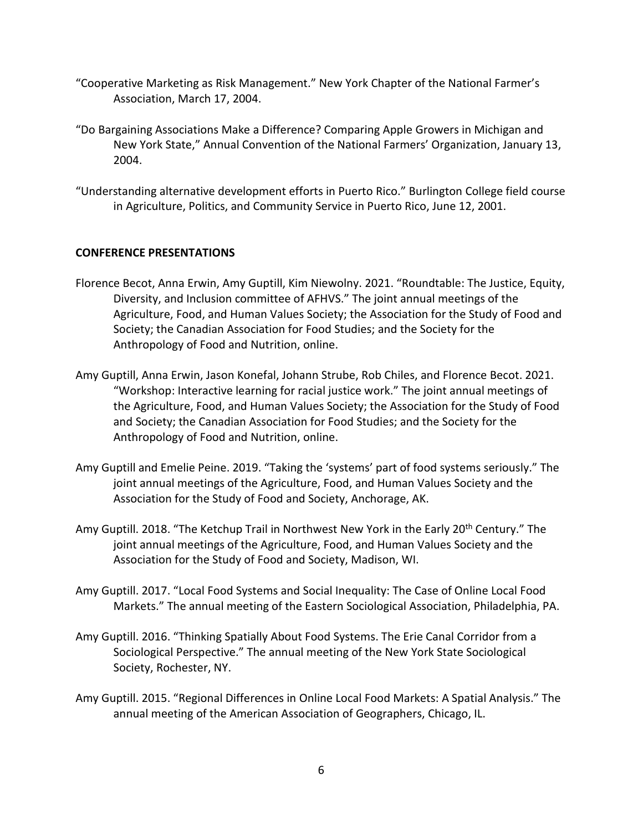- "Cooperative Marketing as Risk Management." New York Chapter of the National Farmer's Association, March 17, 2004.
- New York State," Annual Convention of the National Farmers' Organization, January 13, "Do Bargaining Associations Make a Difference? Comparing Apple Growers in Michigan and 2004.
- "Understanding alternative development efforts in Puerto Rico." Burlington College field course in Agriculture, Politics, and Community Service in Puerto Rico, June 12, 2001.

#### **CONFERENCE PRESENTATIONS**

- Diversity, and Inclusion committee of AFHVS." The joint annual meetings of the Society; the Canadian Association for Food Studies; and the Society for the Florence Becot, Anna Erwin, Amy Guptill, Kim Niewolny. 2021. "Roundtable: The Justice, Equity, Agriculture, Food, and Human Values Society; the Association for the Study of Food and Anthropology of Food and Nutrition, online.
- "Workshop: Interactive learning for racial justice work." The joint annual meetings of Amy Guptill, Anna Erwin, Jason Konefal, Johann Strube, Rob Chiles, and Florence Becot. 2021. the Agriculture, Food, and Human Values Society; the Association for the Study of Food and Society; the Canadian Association for Food Studies; and the Society for the Anthropology of Food and Nutrition, online.
- joint annual meetings of the Agriculture, Food, and Human Values Society and the Amy Guptill and Emelie Peine. 2019. "Taking the 'systems' part of food systems seriously." The Association for the Study of Food and Society, Anchorage, AK.
- Amy Guptill. 2018. "The Ketchup Trail in Northwest New York in the Early 20<sup>th</sup> Century." The joint annual meetings of the Agriculture, Food, and Human Values Society and the Association for the Study of Food and Society, Madison, WI.
- Amy Guptill. 2017. "Local Food Systems and Social Inequality: The Case of Online Local Food Markets." The annual meeting of the Eastern Sociological Association, Philadelphia, PA.
- Amy Guptill. 2016. "Thinking Spatially About Food Systems. The Erie Canal Corridor from a Sociological Perspective." The annual meeting of the New York State Sociological Society, Rochester, NY.
- Amy Guptill. 2015. "Regional Differences in Online Local Food Markets: A Spatial Analysis." The annual meeting of the American Association of Geographers, Chicago, IL.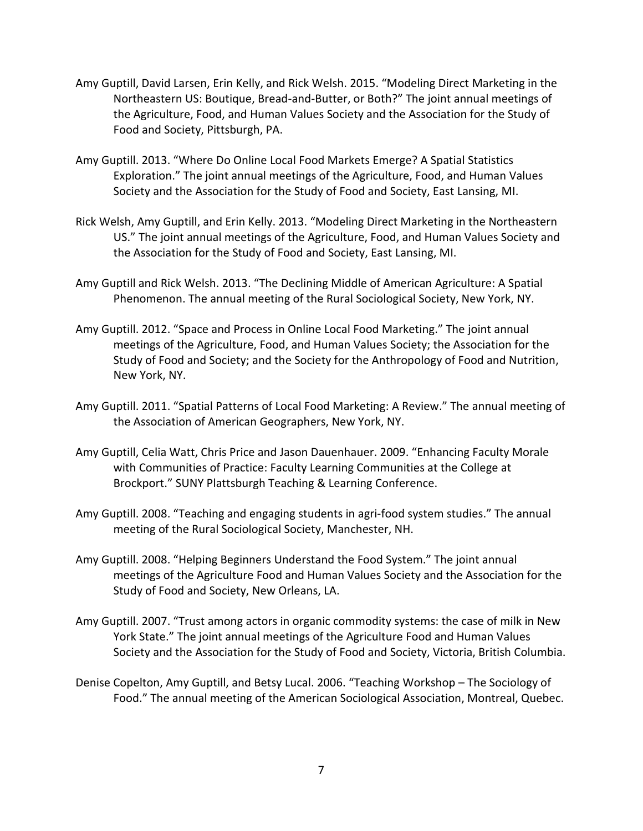- Northeastern US: Boutique, Bread-and-Butter, or Both?" The joint annual meetings of Food and Society, Pittsburgh, PA. Amy Guptill, David Larsen, Erin Kelly, and Rick Welsh. 2015. "Modeling Direct Marketing in the the Agriculture, Food, and Human Values Society and the Association for the Study of
- Amy Guptill. 2013. "Where Do Online Local Food Markets Emerge? A Spatial Statistics Exploration." The joint annual meetings of the Agriculture, Food, and Human Values Society and the Association for the Study of Food and Society, East Lansing, MI.
- Rick Welsh, Amy Guptill, and Erin Kelly. 2013. "Modeling Direct Marketing in the Northeastern US." The joint annual meetings of the Agriculture, Food, and Human Values Society and the Association for the Study of Food and Society, East Lansing, MI.
- Phenomenon. The annual meeting of the Rural Sociological Society, New York, NY. Amy Guptill and Rick Welsh. 2013. "The Declining Middle of American Agriculture: A Spatial
- Amy Guptill. 2012. "Space and Process in Online Local Food Marketing." The joint annual meetings of the Agriculture, Food, and Human Values Society; the Association for the Study of Food and Society; and the Society for the Anthropology of Food and Nutrition, New York, NY.
- the Association of American Geographers, New York, NY. Amy Guptill. 2011. "Spatial Patterns of Local Food Marketing: A Review." The annual meeting of
- Amy Guptill, Celia Watt, Chris Price and Jason Dauenhauer. 2009. "Enhancing Faculty Morale with Communities of Practice: Faculty Learning Communities at the College at Brockport." SUNY Plattsburgh Teaching & Learning Conference.
- Amy Guptill. 2008. "Teaching and engaging students in agri-food system studies." The annual meeting of the Rural Sociological Society, Manchester, NH.
- Amy Guptill. 2008. "Helping Beginners Understand the Food System." The joint annual meetings of the Agriculture Food and Human Values Society and the Association for the Study of Food and Society, New Orleans, LA.
- Amy Guptill. 2007. "Trust among actors in organic commodity systems: the case of milk in New York State." The joint annual meetings of the Agriculture Food and Human Values Society and the Association for the Study of Food and Society, Victoria, British Columbia.
- Denise Copelton, Amy Guptill, and Betsy Lucal. 2006. "Teaching Workshop The Sociology of Food." The annual meeting of the American Sociological Association, Montreal, Quebec.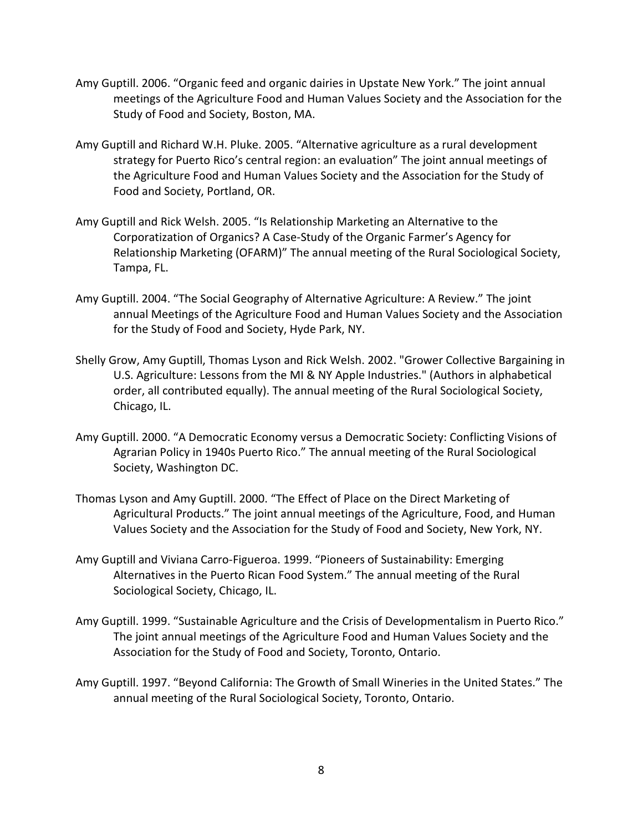- Amy Guptill. 2006. "Organic feed and organic dairies in Upstate New York." The joint annual meetings of the Agriculture Food and Human Values Society and the Association for the Study of Food and Society, Boston, MA.
- Amy Guptill and Richard W.H. Pluke. 2005. "Alternative agriculture as a rural development strategy for Puerto Rico's central region: an evaluation" The joint annual meetings of the Agriculture Food and Human Values Society and the Association for the Study of Food and Society, Portland, OR.
- Corporatization of Organics? A Case-Study of the Organic Farmer's Agency for Amy Guptill and Rick Welsh. 2005. "Is Relationship Marketing an Alternative to the Relationship Marketing (OFARM)" The annual meeting of the Rural Sociological Society, Tampa, FL.
- Amy Guptill. 2004. "The Social Geography of Alternative Agriculture: A Review." The joint annual Meetings of the Agriculture Food and Human Values Society and the Association for the Study of Food and Society, Hyde Park, NY.
- U.S. Agriculture: Lessons from the MI & NY Apple Industries." (Authors in alphabetical Shelly Grow, Amy Guptill, Thomas Lyson and Rick Welsh. 2002. "Grower Collective Bargaining in order, all contributed equally). The annual meeting of the Rural Sociological Society, Chicago, IL.
- Amy Guptill. 2000. "A Democratic Economy versus a Democratic Society: Conflicting Visions of Agrarian Policy in 1940s Puerto Rico." The annual meeting of the Rural Sociological Society, Washington DC.
- Thomas Lyson and Amy Guptill. 2000. "The Effect of Place on the Direct Marketing of Agricultural Products." The joint annual meetings of the Agriculture, Food, and Human Values Society and the Association for the Study of Food and Society, New York, NY.
- Amy Guptill and Viviana Carro-Figueroa. 1999. "Pioneers of Sustainability: Emerging Alternatives in the Puerto Rican Food System." The annual meeting of the Rural Sociological Society, Chicago, IL.
- Amy Guptill. 1999. "Sustainable Agriculture and the Crisis of Developmentalism in Puerto Rico." The joint annual meetings of the Agriculture Food and Human Values Society and the Association for the Study of Food and Society, Toronto, Ontario.
- Amy Guptill. 1997. "Beyond California: The Growth of Small Wineries in the United States." The annual meeting of the Rural Sociological Society, Toronto, Ontario.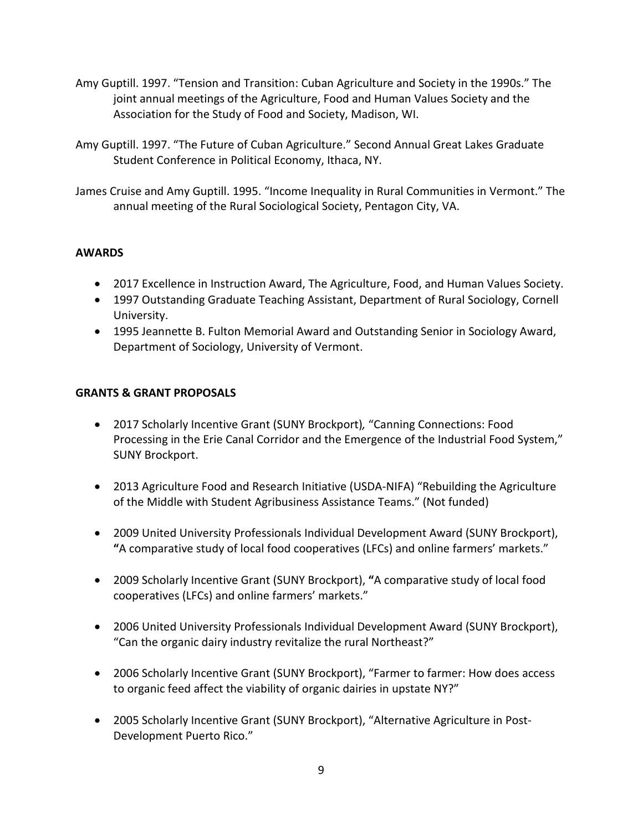- Amy Guptill. 1997. "Tension and Transition: Cuban Agriculture and Society in the 1990s." The joint annual meetings of the Agriculture, Food and Human Values Society and the Association for the Study of Food and Society, Madison, WI.
- Amy Guptill. 1997. "The Future of Cuban Agriculture." Second Annual Great Lakes Graduate Student Conference in Political Economy, Ithaca, NY.
- James Cruise and Amy Guptill. 1995. "Income Inequality in Rural Communities in Vermont." The annual meeting of the Rural Sociological Society, Pentagon City, VA.

## **AWARDS**

- 2017 Excellence in Instruction Award, The Agriculture, Food, and Human Values Society.
- 1997 Outstanding Graduate Teaching Assistant, Department of Rural Sociology, Cornell University.
- 1995 Jeannette B. Fulton Memorial Award and Outstanding Senior in Sociology Award, Department of Sociology, University of Vermont.

## **GRANTS & GRANT PROPOSALS**

- 2017 Scholarly Incentive Grant (SUNY Brockport)*,* "Canning Connections: Food Processing in the Erie Canal Corridor and the Emergence of the Industrial Food System," SUNY Brockport.
- 2013 Agriculture Food and Research Initiative (USDA-NIFA) "Rebuilding the Agriculture of the Middle with Student Agribusiness Assistance Teams." (Not funded)
- **"**A comparative study of local food cooperatives (LFCs) and online farmers' markets." • 2009 United University Professionals Individual Development Award (SUNY Brockport),
- • 2009 Scholarly Incentive Grant (SUNY Brockport), **"**A comparative study of local food cooperatives (LFCs) and online farmers' markets."
- "Can the organic dairy industry revitalize the rural Northeast?" • 2006 United University Professionals Individual Development Award (SUNY Brockport),
- • 2006 Scholarly Incentive Grant (SUNY Brockport), "Farmer to farmer: How does access to organic feed affect the viability of organic dairies in upstate NY?"
- 2005 Scholarly Incentive Grant (SUNY Brockport), "Alternative Agriculture in Post-Development Puerto Rico."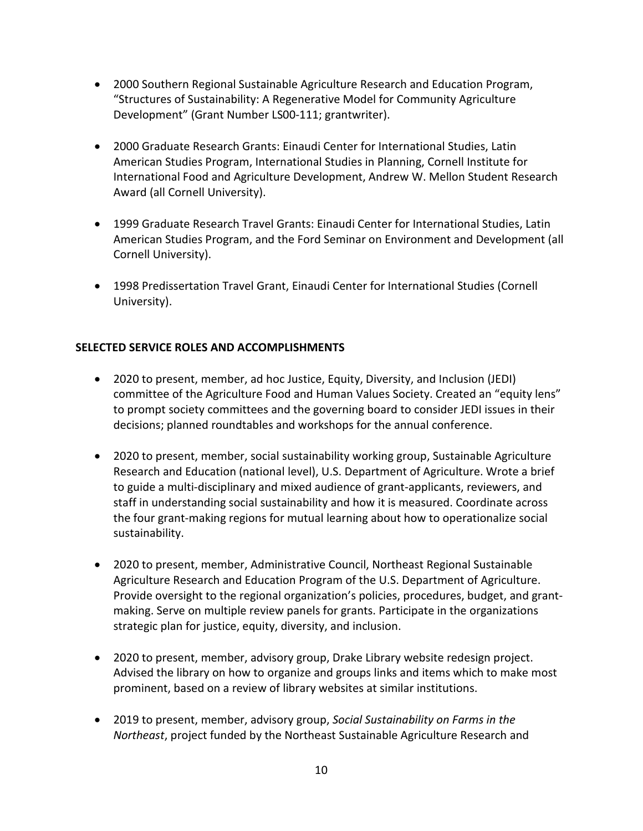- Development" (Grant Number LS00-111; grantwriter). • 2000 Southern Regional Sustainable Agriculture Research and Education Program, "Structures of Sustainability: A Regenerative Model for Community Agriculture
- International Food and Agriculture Development, Andrew W. Mellon Student Research • 2000 Graduate Research Grants: Einaudi Center for International Studies, Latin American Studies Program, International Studies in Planning, Cornell Institute for Award (all Cornell University).
- 1999 Graduate Research Travel Grants: Einaudi Center for International Studies, Latin American Studies Program, and the Ford Seminar on Environment and Development (all Cornell University).
- 1998 Predissertation Travel Grant, Einaudi Center for International Studies (Cornell University).

### **SELECTED SERVICE ROLES AND ACCOMPLISHMENTS**

- committee of the Agriculture Food and Human Values Society. Created an "equity lens" decisions; planned roundtables and workshops for the annual conference. • 2020 to present, member, ad hoc Justice, Equity, Diversity, and Inclusion (JEDI) to prompt society committees and the governing board to consider JEDI issues in their
- the four grant-making regions for mutual learning about how to operationalize social • 2020 to present, member, social sustainability working group, Sustainable Agriculture Research and Education (national level), U.S. Department of Agriculture. Wrote a brief to guide a multi-disciplinary and mixed audience of grant-applicants, reviewers, and staff in understanding social sustainability and how it is measured. Coordinate across sustainability.
- Provide oversight to the regional organization's policies, procedures, budget, and grant-• 2020 to present, member, Administrative Council, Northeast Regional Sustainable Agriculture Research and Education Program of the U.S. Department of Agriculture. making. Serve on multiple review panels for grants. Participate in the organizations strategic plan for justice, equity, diversity, and inclusion.
- • 2020 to present, member, advisory group, Drake Library website redesign project. prominent, based on a review of library websites at similar institutions. Advised the library on how to organize and groups links and items which to make most
- • 2019 to present, member, advisory group, *Social Sustainability on Farms in the Northeast*, project funded by the Northeast Sustainable Agriculture Research and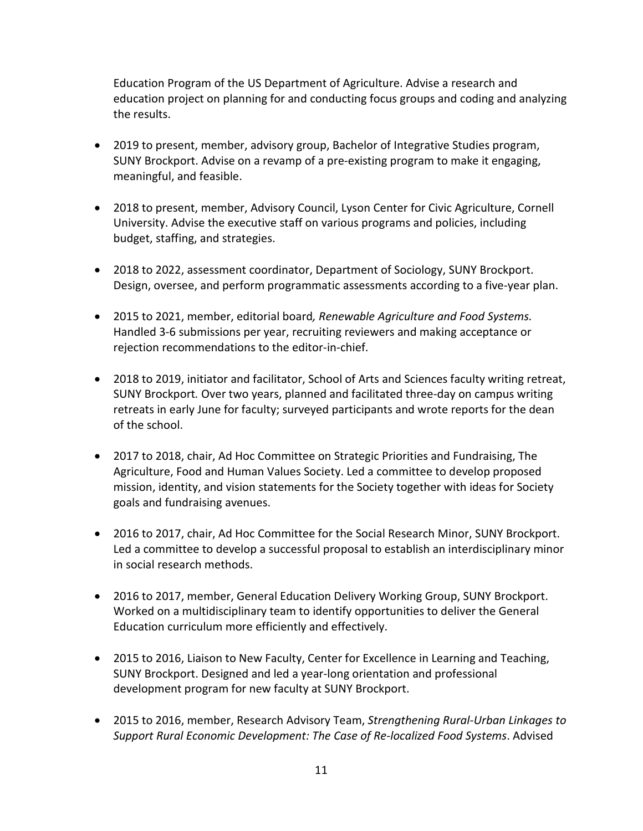Education Program of the US Department of Agriculture. Advise a research and education project on planning for and conducting focus groups and coding and analyzing the results.

- 2019 to present, member, advisory group, Bachelor of Integrative Studies program, SUNY Brockport. Advise on a revamp of a pre-existing program to make it engaging, meaningful, and feasible.
- University. Advise the executive staff on various programs and policies, including • 2018 to present, member, Advisory Council, Lyson Center for Civic Agriculture, Cornell budget, staffing, and strategies.
- 2018 to 2022, assessment coordinator, Department of Sociology, SUNY Brockport. Design, oversee, and perform programmatic assessments according to a five-year plan.
- 2015 to 2021, member, editorial board*, Renewable Agriculture and Food Systems.*  Handled 3-6 submissions per year, recruiting reviewers and making acceptance or rejection recommendations to the editor-in-chief.
- • 2018 to 2019, initiator and facilitator, School of Arts and Sciences faculty writing retreat, SUNY Brockport*.* Over two years, planned and facilitated three-day on campus writing retreats in early June for faculty; surveyed participants and wrote reports for the dean of the school.
- • 2017 to 2018, chair, Ad Hoc Committee on Strategic Priorities and Fundraising, The Agriculture, Food and Human Values Society. Led a committee to develop proposed mission, identity, and vision statements for the Society together with ideas for Society goals and fundraising avenues.
- 2016 to 2017, chair, Ad Hoc Committee for the Social Research Minor, SUNY Brockport. Led a committee to develop a successful proposal to establish an interdisciplinary minor in social research methods.
- • 2016 to 2017, member, General Education Delivery Working Group, SUNY Brockport. Worked on a multidisciplinary team to identify opportunities to deliver the General Education curriculum more efficiently and effectively.
- development program for new faculty at SUNY Brockport. • 2015 to 2016, Liaison to New Faculty, Center for Excellence in Learning and Teaching, SUNY Brockport. Designed and led a year-long orientation and professional
- 2015 to 2016, member, Research Advisory Team, *Strengthening Rural-Urban Linkages to Support Rural Economic Development: The Case of Re-localized Food Systems*. Advised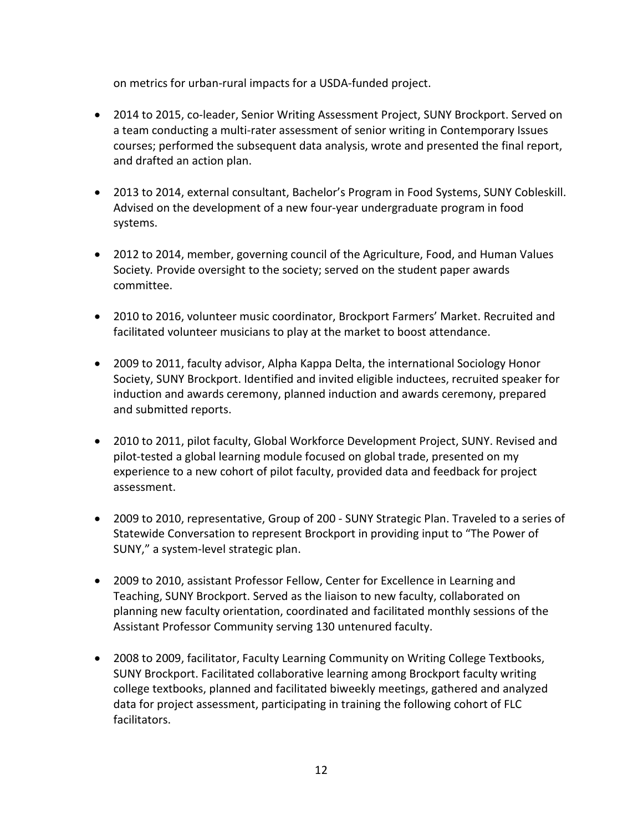on metrics for urban-rural impacts for a USDA-funded project.

- • 2014 to 2015, co-leader, Senior Writing Assessment Project, SUNY Brockport. Served on a team conducting a multi-rater assessment of senior writing in Contemporary Issues courses; performed the subsequent data analysis, wrote and presented the final report, and drafted an action plan.
- Advised on the development of a new four-year undergraduate program in food • 2013 to 2014, external consultant, Bachelor's Program in Food Systems, SUNY Cobleskill. systems.
- 2012 to 2014, member, governing council of the Agriculture, Food, and Human Values Society*.* Provide oversight to the society; served on the student paper awards committee.
- 2010 to 2016, volunteer music coordinator, Brockport Farmers' Market. Recruited and facilitated volunteer musicians to play at the market to boost attendance.
- 2009 to 2011, faculty advisor, Alpha Kappa Delta, the international Sociology Honor Society, SUNY Brockport. Identified and invited eligible inductees, recruited speaker for induction and awards ceremony, planned induction and awards ceremony, prepared and submitted reports.
- pilot-tested a global learning module focused on global trade, presented on my experience to a new cohort of pilot faculty, provided data and feedback for project • 2010 to 2011, pilot faculty, Global Workforce Development Project, SUNY. Revised and assessment.
- 2009 to 2010, representative, Group of 200 SUNY Strategic Plan. Traveled to a series of Statewide Conversation to represent Brockport in providing input to "The Power of SUNY," a system-level strategic plan.
- Teaching, SUNY Brockport. Served as the liaison to new faculty, collaborated on planning new faculty orientation, coordinated and facilitated monthly sessions of the • 2009 to 2010, assistant Professor Fellow, Center for Excellence in Learning and Assistant Professor Community serving 130 untenured faculty.
- data for project assessment, participating in training the following cohort of FLC • 2008 to 2009, facilitator, Faculty Learning Community on Writing College Textbooks, SUNY Brockport. Facilitated collaborative learning among Brockport faculty writing college textbooks, planned and facilitated biweekly meetings, gathered and analyzed facilitators.